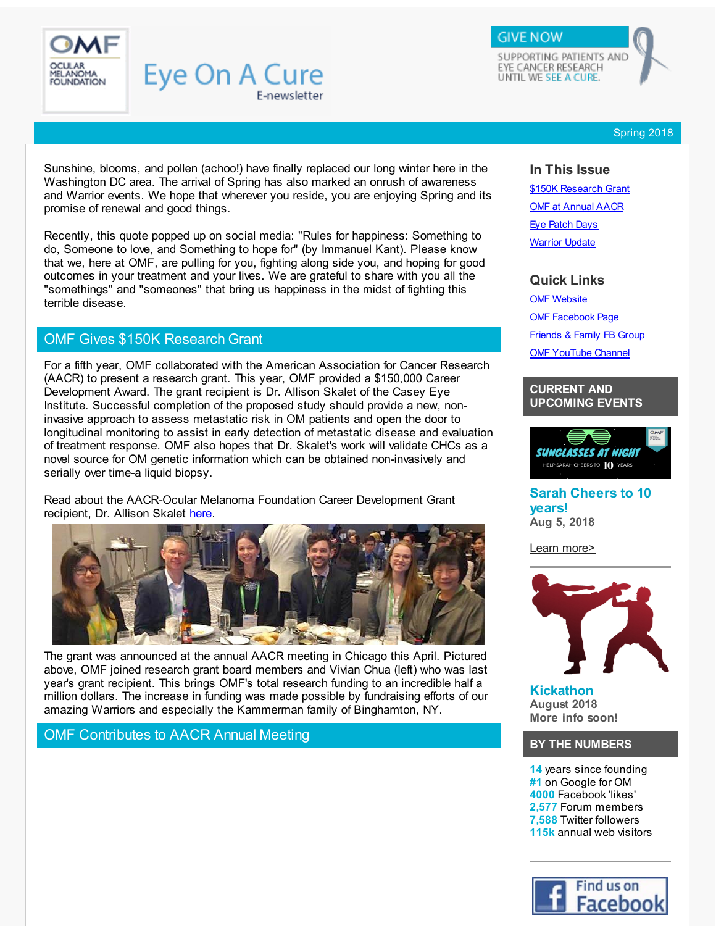<span id="page-0-0"></span>

SUPPORTING PATIENTS AND EYE CANCER RESEARCH UNTIL WE SEE A CURE.

**GIVE NOW** 

Spring 2018

Sunshine, blooms, and pollen (achoo!) have finally replaced our long winter here in the Washington DC area. The arrival of Spring has also marked an onrush of awareness and Warrior events. We hope that wherever you reside, you are enjoying Spring and its promise of renewal and good things.

E-newsletter

Eye On A Cure

Recently, this quote popped up on social media: "Rules for happiness: Something to do, Someone to love, and Something to hope for" (by Immanuel Kant). Please know that we, here at OMF, are pulling for you, fighting along side you, and hoping for good outcomes in your treatment and your lives. We are grateful to share with you all the "somethings" and "someones" that bring us happiness in the midst of fighting this terrible disease.

## OMF Gives \$150K Research Grant

For a fifth year, OMF collaborated with the American Association for Cancer Research (AACR) to present a research grant. This year, OMF provided a \$150,000 Career Development Award. The grant recipient is Dr. Allison Skalet of the Casey Eye Institute. Successful completion of the proposed study should provide a new, noninvasive approach to assess metastatic risk in OM patients and open the door to longitudinal monitoring to assist in early detection of metastatic disease and evaluation of treatment response. OMF also hopes that Dr. Skalet's work will validate CHCs as a novel source for OM genetic information which can be obtained non-invasively and serially over time-a liquid biopsy.

Read about the AACR-Ocular Melanoma Foundation Career Development Grant recipient, Dr. Allison Skalet [here](http://r20.rs6.net/tn.jsp?f=001_Nh7hN86Nj44wEJ5Q_iVGFgkpg-1Pwf4xhnieuXa3Ls34H4pLz-eaqY2Lf9PCH_AGn1dytnM3Ai4JmGBuz352oO3tLIDSCuyYP5S3Nr4hoTVd2vhtSrX-VKSEzLDJ0hAql8aGIo38gLU87jxRWrk85De8bWjCAUxYE3uYytXGQ_Xk-gMw2wnasKr27e370jM-4urWtfrwP9vEvlLfRntmfew1F01CSFgifunS3ISVzptnBwc2pQFIS88c3LypR2xMXkEwJH33PqQIXtMGGHUqXPdLS6_penNyIS3hVl9JKuDrYXA66wMXWwLjikrR-mE&c=&ch=).



The grant was announced at the annual AACR meeting in Chicago this April. Pictured above, OMF joined research grant board members and Vivian Chua (left) who was last year's grant recipient. This brings OMF's total research funding to an incredible half a million dollars. The increase in funding was made possible by fundraising efforts of our amazing Warriors and especially the Kammerman family of Binghamton, NY.

## OMF Contributes to AACR Annual Meeting

### **In This Issue**

\$150K [Research](#page-0-0) Grant **OMF at [Annual](#page-0-0) AACR** Eye [Patch](#page-0-0) Days **[Warrior](#page-0-0) Update** 

### **Quick Links**

OMF [Website](http://r20.rs6.net/tn.jsp?f=001_Nh7hN86Nj44wEJ5Q_iVGFgkpg-1Pwf4xhnieuXa3Ls34H4pLz-eavjTYHwRut1dr6W0b8Q-44gMaViHu7f_6XYLVoiETYj6ZfN2vrp5idpDuJBIDzq6J6WB8Htd-eBnq0IPLoXOXvxmjLn2hYeHsMGx3T8coif5XUcxkqpry5Q2SkXdRZZ4AiU4INC5Rb4aW-rN_XV8CWKgrc86Zv9z4ZEueopqMUB74dHbK0FxHsmyVMPMe6FzzfvFo88e1Iv0C9tvlFrmK0zYaM6dKMIS9cPhXe_u8cg6ACjux2Z1KL6ohxwH4lIcKA==&c=&ch=) OMF [Facebook](http://r20.rs6.net/tn.jsp?f=001_Nh7hN86Nj44wEJ5Q_iVGFgkpg-1Pwf4xhnieuXa3Ls34H4pLz-ear4Vf0RmR9c6-CoQ_MnhT8GDIgvyMkamLsBK2tJlYdw9AwPX14dt3kVCM5sLO-sYt26FZHaNvzXmjMWo6t6_YF9x15mvDCdcMr2nXfEuph6BD8wUi1Vg6CG_akvA_f1X_hmC_6ZNjH23&c=&ch=) Page [Friends](http://r20.rs6.net/tn.jsp?f=001_Nh7hN86Nj44wEJ5Q_iVGFgkpg-1Pwf4xhnieuXa3Ls34H4pLz-eakd9irzX6x1EfRR_pxhosW41NnWRYEcZVsfJ_m6ZOWGy0ya_yhIBlKkdX2HFhftWEb3DKaSZpQSGI1slyWEG6kUzLVrneU7e3AXIzSJxDWto-YEoJ5HlUEQZ6Detm9dha97QFVBtOwML3UMGgD7UirU=&c=&ch=) & Family FB Group **OMF [YouTube](http://r20.rs6.net/tn.jsp?f=001_Nh7hN86Nj44wEJ5Q_iVGFgkpg-1Pwf4xhnieuXa3Ls34H4pLz-eak4HcMQ9C7p8fUl7EPD8mfW0GoGE6GINkuQWJSQO0K8I9JvlBvMcqvQxXntl4Vgt6CPlD3GpfEkaCmz9OZVQTg6y7IqtAcxXvY31yf7XzecdRh70G1Upyrd_rRNUsXBsupENcVul-wTSlvx7gJ80G5pG0aTB0bISbF9yjJruK7iY&c=&ch=) Channel** 

### **CURRENT AND UPCOMING EVENTS**



**Sarah Cheers to 10 years! Aug 5, 2018**

Learn [more>](http://r20.rs6.net/tn.jsp?f=001_Nh7hN86Nj44wEJ5Q_iVGFgkpg-1Pwf4xhnieuXa3Ls34H4pLz-eaqY2Lf9PCH_AH800AEk3WlZx7PvQ3ruKX4PzBfG0-nGPCAZouwiIMQ2cfGtz141qV9nJ9dt8DlLM6eT41SVrTXjXXiV0VrhMKemhzR35VRVDN2iOdHuNy5HW4frd1xz2C7DJUQWnTx4hnzYNXT7enhlqphE0fivZyVboF-665Yd2JdleM-ZXEKm02xTUWVHGWD_3Wbc2y9IHatWikn1zSqXR6VQwvriOIbNNRn402cEPIhz2P-Dsvwtuy8mkxBhAhWxSuVvd4NFKnOHzMg6FHKU=&c=&ch=)



**Kickathon August 2018 More info soon!**

### **BY THE NUMBERS**

**14** years since founding **#1** on Google for OM **4000** Facebook 'likes' **2,577** Forum members **7,588** Twitter followers **115k** annual web visitors

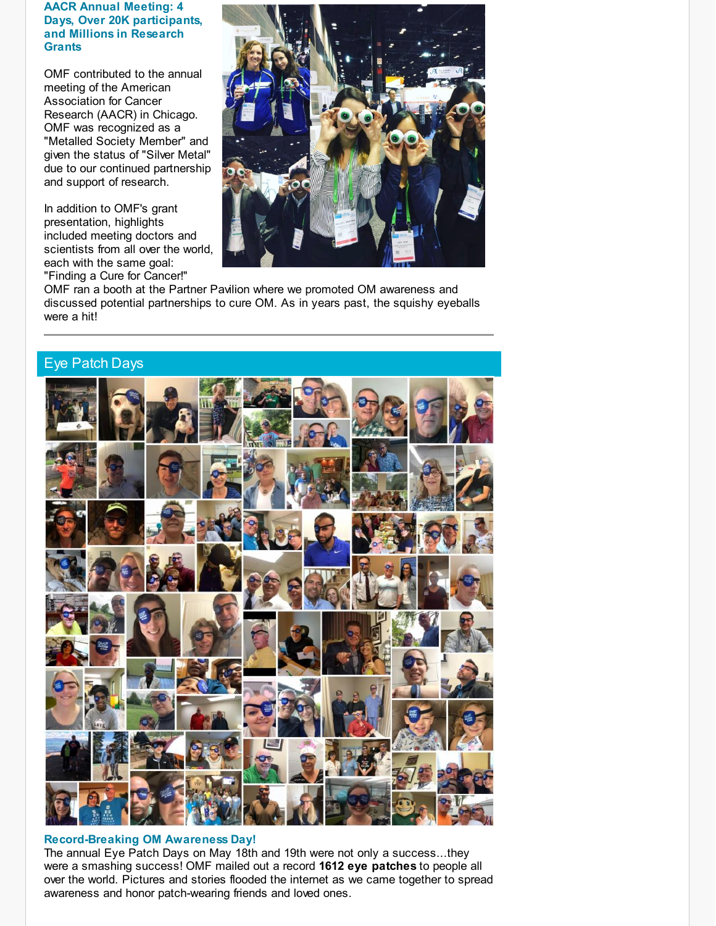### **AACR Annual Meeting: 4 Days, Over 20K participants, and Millions in Research Grants**

OMF contributed to the annual meeting of the American Association for Cancer Research (AACR) in Chicago. OMF was recognized as a "Metalled Society Member" and given the status of "Silver Metal" due to our continued partnership and support of research.

In addition to OMF's grant presentation, highlights included meeting doctors and scientists from all over the world, each with the same goal: "Finding a Cure for Cancer!"



OMF ran a booth at the Partner Pavilion where we promoted OM awareness and discussed potential partnerships to cure OM. As in years past, the squishy eyeballs were a hit!



### **Record-Breaking OM Awareness Day!**

The annual Eye Patch Days on May 18th and 19th were not only a success...they were a smashing success! OMF mailed out a record **1612 eye patches** to people all over the world. Pictures and stories flooded the internet as we came together to spread awareness and honor patch-wearing friends and loved ones.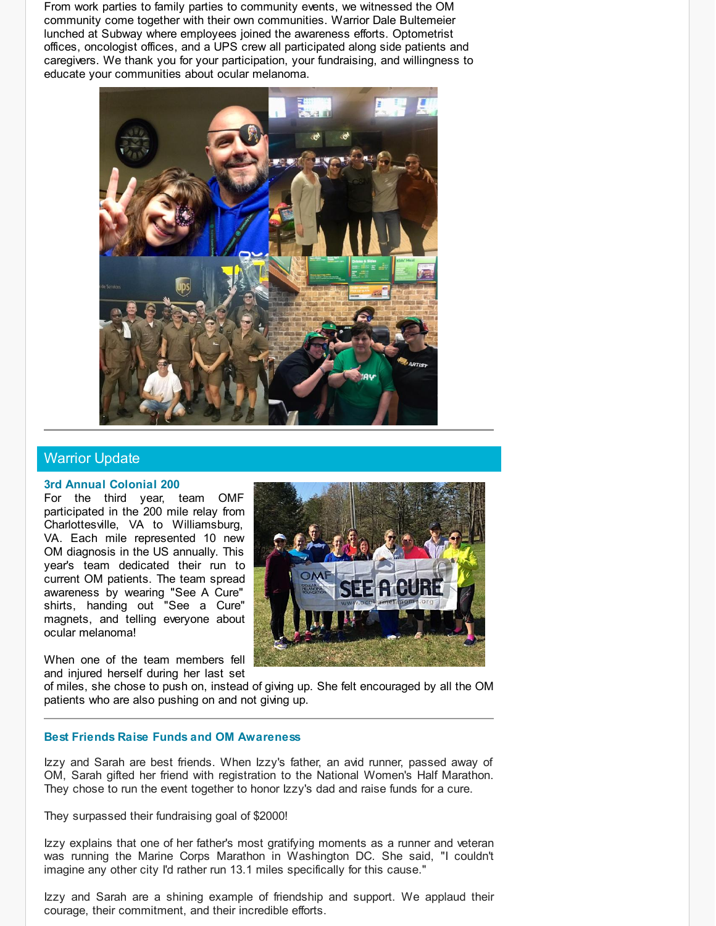From work parties to family parties to community events, we witnessed the OM community come together with their own communities. Warrior Dale Bultemeier lunched at Subway where employees joined the awareness efforts. Optometrist offices, oncologist offices, and a UPS crew all participated along side patients and caregivers. We thank you for your participation, your fundraising, and willingness to educate your communities about ocular melanoma.



## Warrior Update

#### **3rd Annual Colonial 200**

For the third year, team OMF participated in the 200 mile relay from Charlottesville, VA to Williamsburg, VA. Each mile represented 10 new OM diagnosis in the US annually. This year's team dedicated their run to current OM patients. The team spread awareness by wearing "See A Cure" shirts, handing out "See a Cure" magnets, and telling everyone about ocular melanoma!

When one of the team members fell and injured herself during her last set



of miles, she chose to push on, instead of giving up. She felt encouraged by all the OM patients who are also pushing on and not giving up.

#### **Best Friends Raise Funds and OM Awareness**

Izzy and Sarah are best friends. When Izzy's father, an avid runner, passed away of OM, Sarah gifted her friend with registration to the National Women's Half Marathon. They chose to run the event together to honor Izzy's dad and raise funds for a cure.

They surpassed their fundraising goal of \$2000!

Izzy explains that one of her father's most gratifying moments as a runner and veteran was running the Marine Corps Marathon in Washington DC. She said, "I couldn't imagine any other city I'd rather run 13.1 miles specifically for this cause."

Izzy and Sarah are a shining example of friendship and support. We applaud their courage, their commitment, and their incredible efforts.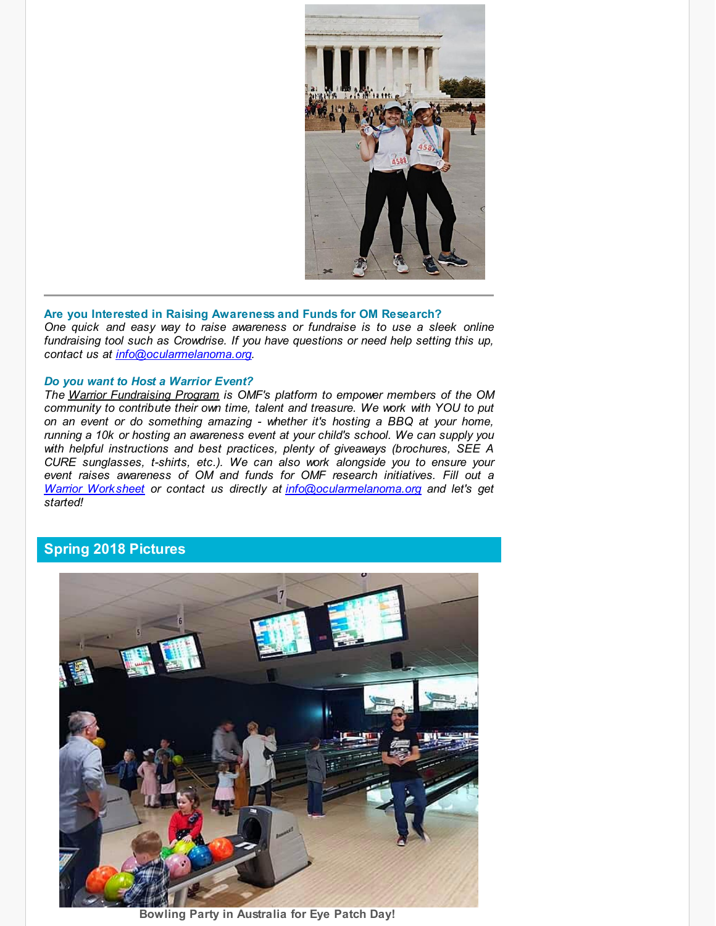

#### **Are you Interested in Raising Awareness and Funds for OM Research?**

*One quick and easy way to raise awareness or fundraise is to use a sleek online fundraising tool such as Crowdrise. If you have questions or need help setting this up, contact us at [info@ocularmelanoma.org](mailto:info@ocularmelanoma.org).*

#### *Do you want to Host a Warrior Event?*

*The Warrior [Fundraising](http://r20.rs6.net/tn.jsp?f=001_Nh7hN86Nj44wEJ5Q_iVGFgkpg-1Pwf4xhnieuXa3Ls34H4pLz-ear4Vf0RmR9c6G0cSmQqyxHok-6L00LT4Uf4LS8AkeTedGgS6Fhf1mckoIdOXJ2E7CKC2-8d_5yPloWESgKd7ww7I_RXo-3kmiY2it4GPedRXYg3czm7Qe1HTHXNd54KIMFuGw7okFKkJgGKUtfGfTFD2HQ5yOzI8kG3kJSx8xfPG4TXlwGCNz0PUBlSMEbIBr7KTjHZTvhXv15FBkCZjkVrx31qYCTVLcbBrYjciJqyee_Pb_2KQFEOqU79QDIVFVlJNMxKmNUxlS2dLCQigQa1v0Z71xMNeQg==&c=&ch=) Program is OMF's platform to empower members of the OM community to contribute their own time, talent and treasure. We work with YOU to put on an event or do something amazing - whether it's hosting a BBQ at your home, running a 10k or hosting an awareness event at your child's school. We can supply you with helpful instructions and best practices, plenty of giveaways (brochures, SEE A CURE sunglasses, t-shirts, etc.). We can also work alongside you to ensure your event raises awareness of OM and funds for OMF research initiatives. Fill out a Warrior [Worksheet](http://r20.rs6.net/tn.jsp?f=001_Nh7hN86Nj44wEJ5Q_iVGFgkpg-1Pwf4xhnieuXa3Ls34H4pLz-earuoZura5B8MdE5KPW75S-Cy4Pa0HGVVZdMYdLm6eQBVXvIzcgB53BqTz3INAGqzNHb59Ctogm5rhzj6dccDOoEYjLrfIR73UAZ-DvafVxvJ7cRVE4RIJJiNt5vwzqqTfew39FR2GtyUO-A0PUNcoC-A-h6HWlXKT3L0qGRMWLL21QkLZUfr5zd0gpLObrdVxXfrG_y-P7hl43N_18xuepvnk3ALU9iCRknJoqjGhfl3zDZMuFVv-9U4UjshogcDPdG9P_faYEoPvgg8yWSZ-bI=&c=&ch=) or contact us directly at [info@ocularmelanoma.org](mailto:info@ocularmelanoma.org) and let's get started!*

# **Spring 2018 Pictures**



**Bowling Party in Australia for Eye Patch Day!**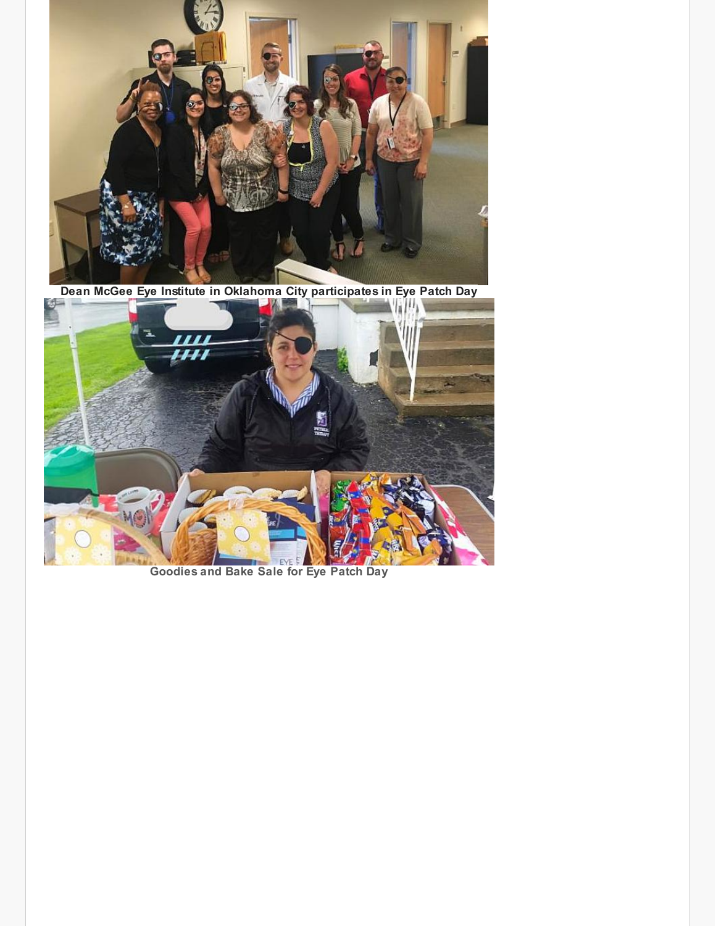

**Dean McGee Eye Institute in Oklahoma City participates in Eye Patch Day**



**Goodies and Bake Sale for Eye Patch Day**